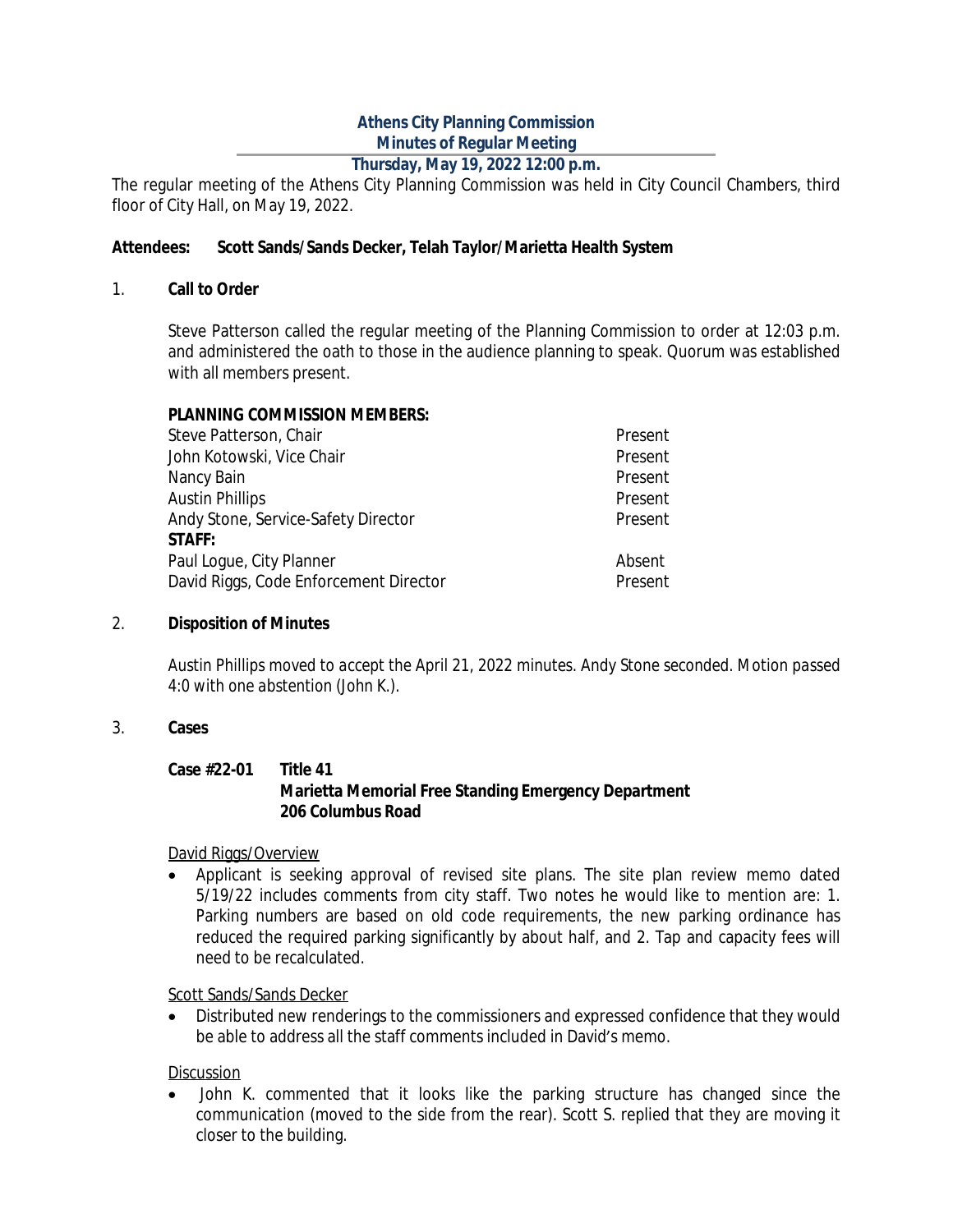## **Athens City Planning Commission Minutes of Regular Meeting**

### **Thursday, May 19, 2022 12:00 p.m.**

The regular meeting of the Athens City Planning Commission was held in City Council Chambers, third floor of City Hall, on May 19, 2022.

#### **Attendees: Scott Sands/Sands Decker, Telah Taylor/Marietta Health System**

#### 1. **Call to Order**

Steve Patterson called the regular meeting of the Planning Commission to order at 12:03 p.m. and administered the oath to those in the audience planning to speak. Quorum was established with all members present.

#### **PLANNING COMMISSION MEMBERS:**

| Steve Patterson, Chair                 | Present |
|----------------------------------------|---------|
| John Kotowski, Vice Chair              | Present |
| Nancy Bain                             | Present |
| <b>Austin Phillips</b>                 | Present |
| Andy Stone, Service-Safety Director    | Present |
| <b>STAFF:</b>                          |         |
| Paul Loque, City Planner               | Absent  |
| David Riggs, Code Enforcement Director | Present |
|                                        |         |

#### 2. **Disposition of Minutes**

*Austin Phillips moved to accept the April 21, 2022 minutes. Andy Stone seconded. Motion passed 4:0 with one abstention (John K.).*

#### 3. **Cases**

#### **Case #22-01 Title 41 Marietta Memorial Free Standing Emergency Department 206 Columbus Road**

David Riggs/Overview

 Applicant is seeking approval of revised site plans. The site plan review memo dated 5/19/22 includes comments from city staff. Two notes he would like to mention are: 1. Parking numbers are based on old code requirements, the new parking ordinance has reduced the required parking significantly by about half, and 2. Tap and capacity fees will need to be recalculated.

Scott Sands/Sands Decker

 Distributed new renderings to the commissioners and expressed confidence that they would be able to address all the staff comments included in David's memo.

#### Discussion

 John K. commented that it looks like the parking structure has changed since the communication (moved to the side from the rear). Scott S. replied that they are moving it closer to the building.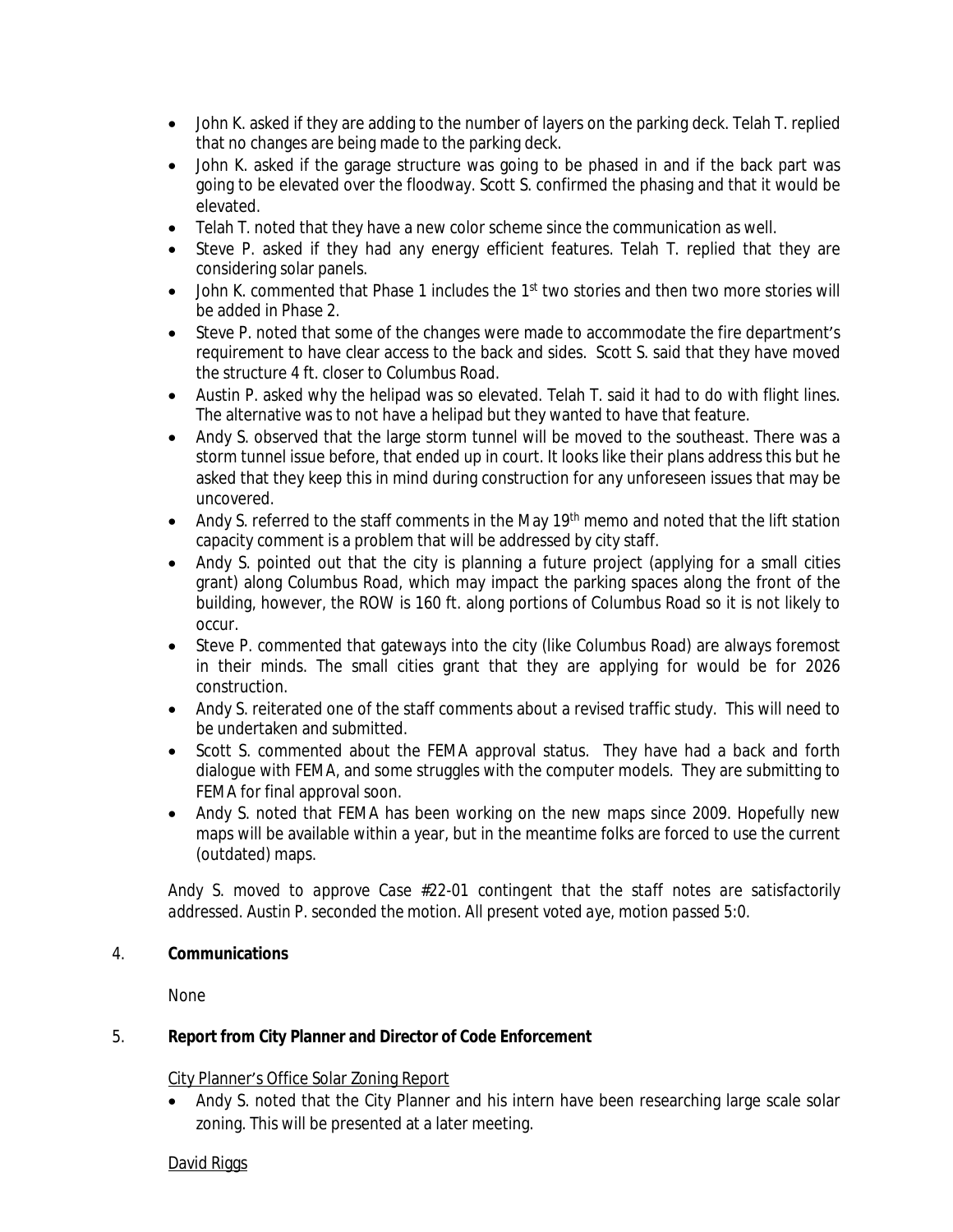- John K. asked if they are adding to the number of layers on the parking deck. Telah T. replied that no changes are being made to the parking deck.
- John K. asked if the garage structure was going to be phased in and if the back part was going to be elevated over the floodway. Scott S. confirmed the phasing and that it would be elevated.
- Telah T. noted that they have a new color scheme since the communication as well.
- Steve P. asked if they had any energy efficient features. Telah T. replied that they are considering solar panels.
- John K. commented that Phase 1 includes the 1<sup>st</sup> two stories and then two more stories will be added in Phase 2.
- Steve P. noted that some of the changes were made to accommodate the fire department's requirement to have clear access to the back and sides. Scott S. said that they have moved the structure 4 ft. closer to Columbus Road.
- Austin P. asked why the helipad was so elevated. Telah T. said it had to do with flight lines. The alternative was to not have a helipad but they wanted to have that feature.
- Andy S. observed that the large storm tunnel will be moved to the southeast. There was a storm tunnel issue before, that ended up in court. It looks like their plans address this but he asked that they keep this in mind during construction for any unforeseen issues that may be uncovered.
- Andy S. referred to the staff comments in the May 19<sup>th</sup> memo and noted that the lift station capacity comment is a problem that will be addressed by city staff.
- Andy S. pointed out that the city is planning a future project (applying for a small cities grant) along Columbus Road, which may impact the parking spaces along the front of the building, however, the ROW is 160 ft. along portions of Columbus Road so it is not likely to occur.
- Steve P. commented that gateways into the city (like Columbus Road) are always foremost in their minds. The small cities grant that they are applying for would be for 2026 construction.
- Andy S. reiterated one of the staff comments about a revised traffic study. This will need to be undertaken and submitted.
- Scott S. commented about the FEMA approval status. They have had a back and forth dialogue with FEMA, and some struggles with the computer models. They are submitting to FEMA for final approval soon.
- Andy S. noted that FEMA has been working on the new maps since 2009. Hopefully new maps will be available within a year, but in the meantime folks are forced to use the current (outdated) maps.

*Andy S. moved to approve Case #22-01 contingent that the staff notes are satisfactorily addressed. Austin P. seconded the motion. All present voted aye, motion passed 5:0.*

#### 4. **Communications**

None

#### 5. **Report from City Planner and Director of Code Enforcement**

#### City Planner's Office Solar Zoning Report

• Andy S. noted that the City Planner and his intern have been researching large scale solar zoning. This will be presented at a later meeting.

#### David Riggs